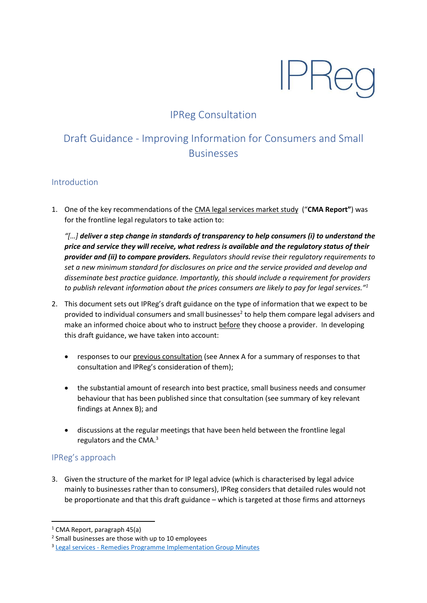# **IPRe**

## IPReg Consultation

# Draft Guidance - Improving Information for Consumers and Small Businesses

#### Introduction

1. One of the key recommendations of the [CMA legal services market study](https://assets.publishing.service.gov.uk/media/5887374d40f0b6593700001a/legal-services-market-study-final-report.pdf) ("**CMA Report"**) was for the frontline legal regulators to take action to:

*"[…] deliver a step change in standards of transparency to help consumers (i) to understand the price and service they will receive, what redress is available and the regulatory status of their provider and (ii) to compare providers. Regulators should revise their regulatory requirements to set a new minimum standard for disclosures on price and the service provided and develop and disseminate best practice guidance. Importantly, this should include a requirement for providers to publish relevant information about the prices consumers are likely to pay for legal services." 1*

- 2. This document sets out IPReg's draft guidance on the type of information that we expect to be provided to individual consumers and small businesses<sup>2</sup> to help them compare legal advisers and make an informed choice about who to instruct before they choose a provider. In developing this draft guidance, we have taken into account:
	- responses to ou[r previous consultation](https://ipreg.org.uk/wp-content/files/2017/08/FINAL-IPReg-CMA-Report-Consultation-on-transparency1.pdf) (see Annex A for a summary of responses to that consultation and IPReg's consideration of them);
	- the substantial amount of research into best practice, small business needs and consumer behaviour that has been published since that consultation (see summary of key relevant findings at Annex B); and
	- discussions at the regular meetings that have been held between the frontline legal regulators and the CMA.<sup>3</sup>

### IPReg's approach

**.** 

3. Given the structure of the market for IP legal advice (which is characterised by legal advice mainly to businesses rather than to consumers), IPReg considers that detailed rules would not be proportionate and that this draft guidance – which is targeted at those firms and attorneys

 $1$  CMA Report, paragraph 45(a)

<sup>&</sup>lt;sup>2</sup> Small businesses are those with up to 10 employees

<sup>&</sup>lt;sup>3</sup> Legal services - [Remedies Programme Implementation Group Minutes](https://www.gov.uk/government/publications/legal-services-remedies-programme-implementation-group-minutes-2018)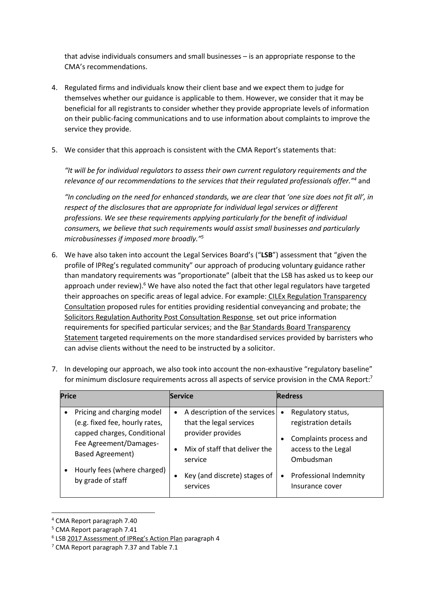that advise individuals consumers and small businesses – is an appropriate response to the CMA's recommendations.

- 4. Regulated firms and individuals know their client base and we expect them to judge for themselves whether our guidance is applicable to them. However, we consider that it may be beneficial for all registrants to consider whether they provide appropriate levels of information on their public-facing communications and to use information about complaints to improve the service they provide.
- 5. We consider that this approach is consistent with the CMA Report's statements that:

*"It will be for individual regulators to assess their own current regulatory requirements and the relevance of our recommendations to the services that their regulated professionals offer."<sup>4</sup>* and

*"In concluding on the need for enhanced standards, we are clear that 'one size does not fit all', in respect of the disclosures that are appropriate for individual legal services or different professions. We see these requirements applying particularly for the benefit of individual consumers, we believe that such requirements would assist small businesses and particularly microbusinesses if imposed more broadly." 5*

6. We have also taken into account the Legal Services Board's ("**LSB**") assessment that "given the profile of IPReg's regulated community" our approach of producing voluntary guidance rather than mandatory requirements was "proportionate" (albeit that the LSB has asked us to keep our approach under review).<sup>6</sup> We have also noted the fact that other legal regulators have targeted their approaches on specific areas of legal advice. For example: [CILEx Regulation Transparency](https://www.cilexregulation.org.uk/about-us/consultations/open-consultations)  [Consultation](https://www.cilexregulation.org.uk/about-us/consultations/open-consultations) proposed rules for entities providing residential conveyancing and probate; the [Solicitors Regulation Authority Post Consultation Response](file:///C:/Users/Victoria/Downloads/Better%20Information%20post%20consultation%20position%20paper.pdf) set out price information requirements for specified particular services; and th[e Bar Standards Board Transparency](https://www.barstandardsboard.org.uk/regulatory-requirements/regulatory-update-2018/bsb-regulatory-update-march-2018/new-approach-to-improve-transparency-for-clients-of-the-bar/)  [Statement](https://www.barstandardsboard.org.uk/regulatory-requirements/regulatory-update-2018/bsb-regulatory-update-march-2018/new-approach-to-improve-transparency-for-clients-of-the-bar/) targeted requirements on the more standardised services provided by barristers who can advise clients without the need to be instructed by a solicitor.

| <b>Price</b>                                                                                                                                                                                         | <b>Service</b>                                                                                                                                                                                       | <b>Redress</b>                                                                                                                                                                               |
|------------------------------------------------------------------------------------------------------------------------------------------------------------------------------------------------------|------------------------------------------------------------------------------------------------------------------------------------------------------------------------------------------------------|----------------------------------------------------------------------------------------------------------------------------------------------------------------------------------------------|
| Pricing and charging model<br>(e.g. fixed fee, hourly rates,<br>capped charges, Conditional<br>Fee Agreement/Damages-<br><b>Based Agreement)</b><br>Hourly fees (where charged)<br>by grade of staff | A description of the services<br>$\bullet$<br>that the legal services<br>provider provides<br>Mix of staff that deliver the<br>$\bullet$<br>service<br>Key (and discrete) stages of<br>٠<br>services | Regulatory status,<br>$\bullet$<br>registration details<br>Complaints process and<br>$\bullet$<br>access to the Legal<br>Ombudsman<br>Professional Indemnity<br>$\bullet$<br>Insurance cover |

7. In developing our approach, we also took into account the non-exhaustive "regulatory baseline" for minimum disclosure requirements across all aspects of service provision in the CMA Report:<sup>7</sup>

1

<sup>4</sup> CMA Report paragraph 7.40

<sup>5</sup> CMA Report paragraph 7.41

<sup>&</sup>lt;sup>6</sup> LSB [2017 Assessment of](https://www.legalservicesboard.org.uk/Projects/pdf/2017/Monday%2012%20Noon/IPReg_-_action_plan_suff_assessment.pdf) IPReg's Action Plan paragraph 4

<sup>7</sup> CMA Report paragraph 7.37 and Table 7.1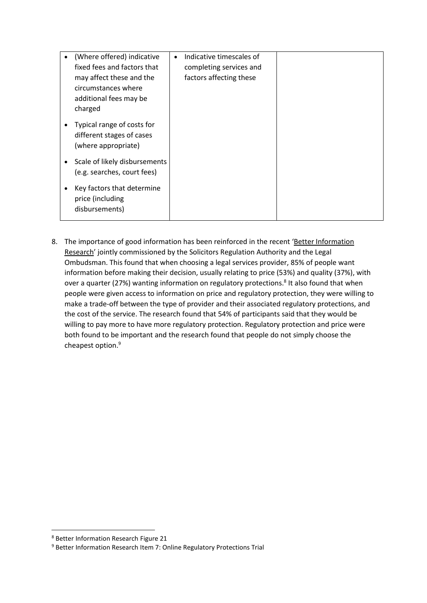| (Where offered) indicative<br>fixed fees and factors that<br>may affect these and the<br>circumstances where<br>additional fees may be | Indicative timescales of<br>$\bullet$<br>completing services and<br>factors affecting these |  |
|----------------------------------------------------------------------------------------------------------------------------------------|---------------------------------------------------------------------------------------------|--|
| charged<br>Typical range of costs for<br>different stages of cases<br>(where appropriate)                                              |                                                                                             |  |
| Scale of likely disbursements<br>$\bullet$<br>(e.g. searches, court fees)                                                              |                                                                                             |  |
| Key factors that determine<br>٠<br>price (including<br>disbursements)                                                                  |                                                                                             |  |

8. The importance of good information has been reinforced in the recent 'Better Information [Research](https://www.sra.org.uk/sra/how-we-work/reports/better-information.page)' jointly commissioned by the Solicitors Regulation Authority and the Legal Ombudsman. This found that when choosing a legal services provider, 85% of people want information before making their decision, usually relating to price (53%) and quality (37%), with over a quarter (27%) wanting information on regulatory protections.<sup>8</sup> It also found that when people were given access to information on price and regulatory protection, they were willing to make a trade-off between the type of provider and their associated regulatory protections, and the cost of the service. The research found that 54% of participants said that they would be willing to pay more to have more regulatory protection. Regulatory protection and price were both found to be important and the research found that people do not simply choose the cheapest option. 9

 $\overline{\phantom{a}}$ 

<sup>8</sup> Better Information Research Figure 21

<sup>9</sup> Better Information Research Item 7: Online Regulatory Protections Trial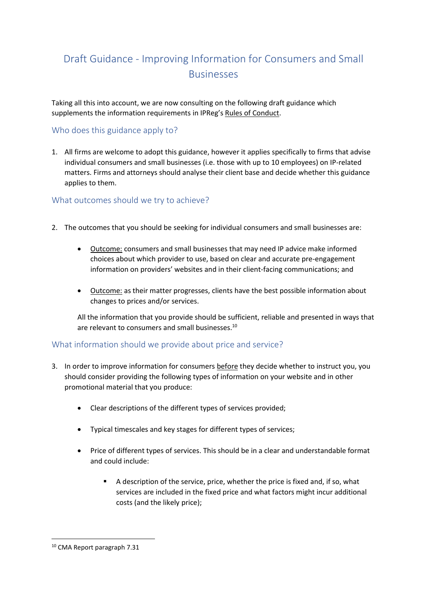# Draft Guidance - Improving Information for Consumers and Small **Businesses**

Taking all this into account, we are now consulting on the following draft guidance which supplements the information requirements in IPReg's [Rules of Conduct.](https://ipreg.org.uk/wp-content/files/2018/03/IPReg%C2%AD_Code_of_Conduct_March_2018-website.pdf)

#### Who does this guidance apply to?

1. All firms are welcome to adopt this guidance, however it applies specifically to firms that advise individual consumers and small businesses (i.e. those with up to 10 employees) on IP-related matters. Firms and attorneys should analyse their client base and decide whether this guidance applies to them.

#### What outcomes should we try to achieve?

- 2. The outcomes that you should be seeking for individual consumers and small businesses are:
	- Outcome: consumers and small businesses that may need IP advice make informed choices about which provider to use, based on clear and accurate pre-engagement information on providers' websites and in their client-facing communications; and
	- Outcome: as their matter progresses, clients have the best possible information about changes to prices and/or services.

All the information that you provide should be sufficient, reliable and presented in ways that are relevant to consumers and small businesses.<sup>10</sup>

#### What information should we provide about price and service?

- 3. In order to improve information for consumers before they decide whether to instruct you, you should consider providing the following types of information on your website and in other promotional material that you produce:
	- Clear descriptions of the different types of services provided;
	- Typical timescales and key stages for different types of services;
	- Price of different types of services. This should be in a clear and understandable format and could include:
		- A description of the service, price, whether the price is fixed and, if so, what services are included in the fixed price and what factors might incur additional costs (and the likely price);

**.** 

<sup>10</sup> CMA Report paragraph 7.31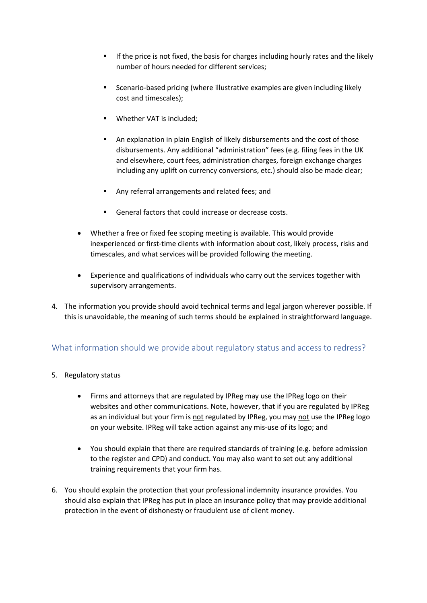- **■** If the price is not fixed, the basis for charges including hourly rates and the likely number of hours needed for different services;
- Scenario-based pricing (where illustrative examples are given including likely cost and timescales);
- Whether VAT is included;
- An explanation in plain English of likely disbursements and the cost of those disbursements. Any additional "administration" fees (e.g. filing fees in the UK and elsewhere, court fees, administration charges, foreign exchange charges including any uplift on currency conversions, etc.) should also be made clear;
- Any referral arrangements and related fees; and
- General factors that could increase or decrease costs.
- Whether a free or fixed fee scoping meeting is available. This would provide inexperienced or first-time clients with information about cost, likely process, risks and timescales, and what services will be provided following the meeting.
- Experience and qualifications of individuals who carry out the services together with supervisory arrangements.
- 4. The information you provide should avoid technical terms and legal jargon wherever possible. If this is unavoidable, the meaning of such terms should be explained in straightforward language.

### What information should we provide about regulatory status and access to redress?

- 5. Regulatory status
	- Firms and attorneys that are regulated by IPReg may use the IPReg logo on their websites and other communications. Note, however, that if you are regulated by IPReg as an individual but your firm is not regulated by IPReg, you may not use the IPReg logo on your website. IPReg will take action against any mis-use of its logo; and
	- You should explain that there are required standards of training (e.g. before admission to the register and CPD) and conduct. You may also want to set out any additional training requirements that your firm has.
- 6. You should explain the protection that your professional indemnity insurance provides. You should also explain that IPReg has put in place an insurance policy that may provide additional protection in the event of dishonesty or fraudulent use of client money.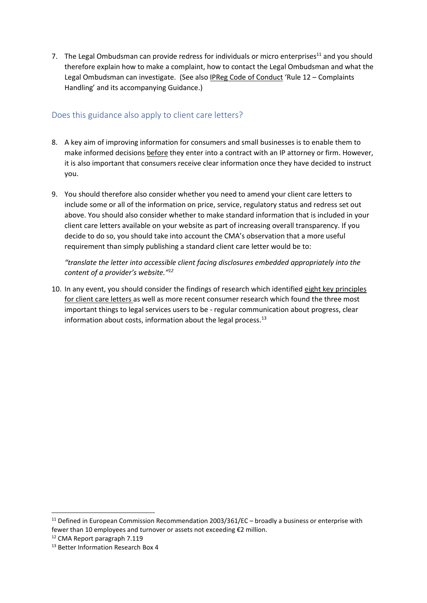7. The Legal Ombudsman can provide redress for individuals or micro enterprises<sup>11</sup> and you should therefore explain how to make a complaint, how to contact the Legal Ombudsman and what the Legal Ombudsman can investigate. (See also [IPReg Code of Conduct](https://ipreg.org.uk/wp-content/files/2018/03/IPReg%C2%AD_Code_of_Conduct_March_2018-website.pdf) 'Rule 12 – Complaints Handling' and its accompanying Guidance.)

#### Does this guidance also apply to client care letters?

- 8. A key aim of improving information for consumers and small businesses is to enable them to make informed decisions before they enter into a contract with an IP attorney or firm. However, it is also important that consumers receive clear information once they have decided to instruct you.
- 9. You should therefore also consider whether you need to amend your client care letters to include some or all of the information on price, service, regulatory status and redress set out above. You should also consider whether to make standard information that is included in your client care letters available on your website as part of increasing overall transparency. If you decide to do so, you should take into account the CMA's observation that a more useful requirement than simply publishing a standard client care letter would be to:

*"translate the letter into accessible client facing disclosures embedded appropriately into the content of a provider's website."<sup>12</sup>*

10. In any event, you should consider the findings of research which identifie[d eight key principles](https://ipreg.org.uk/pro/practice-development/client-care-letters/)  [for client care letters](https://ipreg.org.uk/pro/practice-development/client-care-letters/) as well as more recent consumer research which found the three most important things to legal services users to be - regular communication about progress, clear information about costs, information about the legal process.<sup>13</sup>

1

<sup>&</sup>lt;sup>11</sup> Defined in European Commission Recommendation 2003/361/EC – broadly a business or enterprise with fewer than 10 employees and turnover or assets not exceeding €2 million.

<sup>12</sup> CMA Report paragraph 7.119

<sup>&</sup>lt;sup>13</sup> Better Information Research Box 4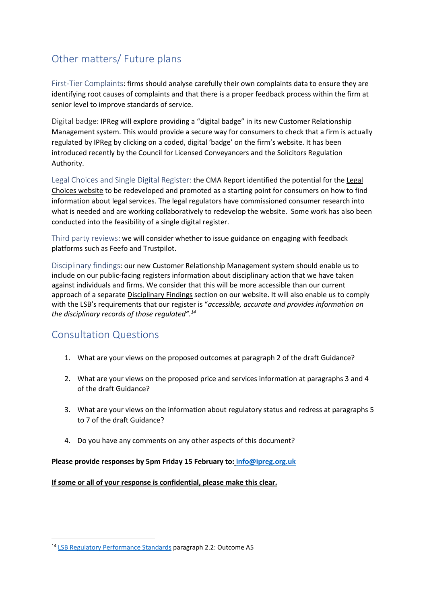## Other matters/ Future plans

First-Tier Complaints: firms should analyse carefully their own complaints data to ensure they are identifying root causes of complaints and that there is a proper feedback process within the firm at senior level to improve standards of service.

Digital badge: IPReg will explore providing a "digital badge" in its new Customer Relationship Management system. This would provide a secure way for consumers to check that a firm is actually regulated by IPReg by clicking on a coded, digital 'badge' on the firm's website. It has been introduced recently by the Council for Licensed Conveyancers and the Solicitors Regulation Authority.

[Legal](https://www.legalchoices.org.uk/) Choices and Single Digital Register: the CMA Report identified the potential for the Legal [Choices website](https://www.legalchoices.org.uk/) to be redeveloped and promoted as a starting point for consumers on how to find information about legal services. The legal regulators have commissioned consumer research into what is needed and are working collaboratively to redevelop the website. Some work has also been conducted into the feasibility of a single digital register.

Third party reviews: we will consider whether to issue guidance on engaging with feedback platforms such as Feefo and Trustpilot.

Disciplinary findings: our new Customer Relationship Management system should enable us to include on our public-facing registers information about disciplinary action that we have taken against individuals and firms. We consider that this will be more accessible than our current approach of a separat[e Disciplinary Findings](https://ipreg.org.uk/public/what-to-do-when-things-go-wrong/case-reports/) section on our website. It will also enable us to comply with the LSB's requirements that our register is "*accessible, accurate and provides information on the disciplinary records of those regulated".<sup>14</sup>*

## Consultation Questions

**.** 

- 1. What are your views on the proposed outcomes at paragraph 2 of the draft Guidance?
- 2. What are your views on the proposed price and services information at paragraphs 3 and 4 of the draft Guidance?
- 3. What are your views on the information about regulatory status and redress at paragraphs 5 to 7 of the draft Guidance?
- 4. Do you have any comments on any other aspects of this document?

#### **Please provide responses by 5pm Friday 15 February to: [info@ipreg.org.uk](mailto:info@ipreg.org.uk)**

**If some or all of your response is confidential, please make this clear.** 

<sup>14</sup> [LSB Regulatory Performance Standards](https://www.legalservicesboard.org.uk/news_publications/LSB_news/PDF/2017/Regulatory_Performance_Standards_December_2017_(final).pdf) paragraph 2.2: Outcome A5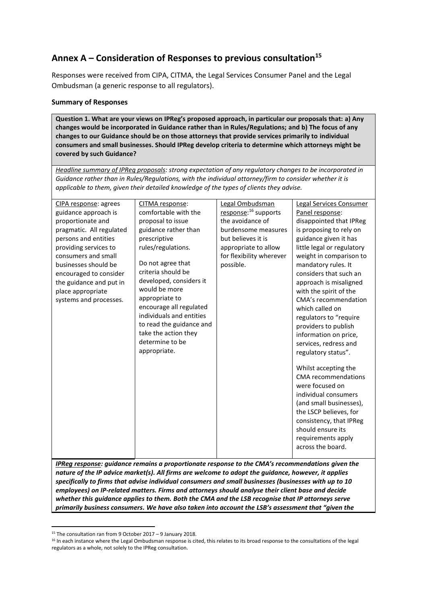## **Annex A – Consideration of Responses to previous consultation<sup>15</sup>**

Responses were received from CIPA, CITMA, the Legal Services Consumer Panel and the Legal Ombudsman (a generic response to all regulators).

#### **Summary of Responses**

**Question 1. What are your views on IPReg's proposed approach, in particular our proposals that: a) Any changes would be incorporated in Guidance rather than in Rules/Regulations; and b) The focus of any changes to our Guidance should be on those attorneys that provide services primarily to individual consumers and small businesses. Should IPReg develop criteria to determine which attorneys might be covered by such Guidance?**

*Headline summary of IPReg proposals: strong expectation of any regulatory changes to be incorporated in Guidance rather than in Rules/Regulations, with the individual attorney/firm to consider whether it is applicable to them, given their detailed knowledge of the types of clients they advise.* 

| CIPA response: agrees    | CITMA response:                         | Legal Ombudsman                  | Legal Services Consumer    |
|--------------------------|-----------------------------------------|----------------------------------|----------------------------|
| guidance approach is     | comfortable with the                    | response: <sup>16</sup> supports | Panel response:            |
| proportionate and        | proposal to issue                       | the avoidance of                 | disappointed that IPReg    |
| pragmatic. All regulated | guidance rather than                    | burdensome measures              | is proposing to rely on    |
| persons and entities     | prescriptive                            | but believes it is               | guidance given it has      |
| providing services to    | rules/regulations.                      | appropriate to allow             | little legal or regulatory |
| consumers and small      |                                         | for flexibility wherever         | weight in comparison to    |
| businesses should be     | Do not agree that                       | possible.                        | mandatory rules. It        |
| encouraged to consider   | criteria should be                      |                                  | considers that such an     |
| the guidance and put in  | developed, considers it                 |                                  | approach is misaligned     |
| place appropriate        | would be more                           |                                  | with the spirit of the     |
| systems and processes.   | appropriate to                          |                                  | CMA's recommendation       |
|                          | encourage all regulated                 |                                  | which called on            |
|                          | individuals and entities                |                                  | regulators to "require     |
|                          | to read the guidance and                |                                  | providers to publish       |
|                          | take the action they<br>determine to be |                                  | information on price,      |
|                          |                                         |                                  | services, redress and      |
|                          | appropriate.                            |                                  | regulatory status".        |
|                          |                                         |                                  | Whilst accepting the       |
|                          |                                         |                                  | <b>CMA</b> recommendations |
|                          |                                         |                                  | were focused on            |
|                          |                                         |                                  | individual consumers       |
|                          |                                         |                                  | (and small businesses),    |
|                          |                                         |                                  | the LSCP believes, for     |
|                          |                                         |                                  | consistency, that IPReg    |
|                          |                                         |                                  | should ensure its          |
|                          |                                         |                                  | requirements apply         |
|                          |                                         |                                  | across the board.          |
|                          |                                         |                                  |                            |

*IPReg response: guidance remains a proportionate response to the CMA's recommendations given the nature of the IP advice market(s). All firms are welcome to adopt the guidance, however, it applies specifically to firms that advise individual consumers and small businesses (businesses with up to 10 employees) on IP-related matters. Firms and attorneys should analyse their client base and decide whether this guidance applies to them. Both the CMA and the LSB recognise that IP attorneys serve primarily business consumers. We have also taken into account the LSB's assessment that "given the* 

**.** 

<sup>15</sup> The consultation ran from 9 October 2017 – 9 January 2018.

<sup>&</sup>lt;sup>16</sup> In each instance where the Legal Ombudsman response is cited, this relates to its broad response to the consultations of the legal regulators as a whole, not solely to the IPReg consultation.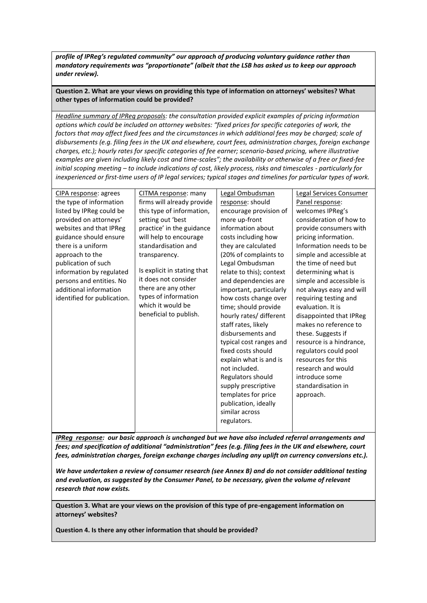*profile of IPReg's regulated community" our approach of producing voluntary guidance rather than mandatory requirements was "proportionate" (albeit that the LSB has asked us to keep our approach under review).*

**Question 2. What are your views on providing this type of information on attorneys' websites? What other types of information could be provided?**

*Headline summary of IPReg proposals: the consultation provided explicit examples of pricing information options which could be included on attorney websites: "fixed prices for specific categories of work, the*  factors that may affect fixed fees and the circumstances in which additional fees may be charged; scale of *disbursements (e.g. filing fees in the UK and elsewhere, court fees, administration charges, foreign exchange charges, etc.); hourly rates for specific categories of fee earner; scenario-based pricing, where illustrative examples are given including likely cost and time-scales"; the availability or otherwise of a free or fixed-fee initial scoping meeting – to include indications of cost, likely process, risks and timescales - particularly for inexperienced or first-time users of IP legal services; typical stages and timelines for particular types of work.* 

| CIPA response: agrees       | CITMA response: many        | Legal Ombudsman          | Legal Services Consumer  |
|-----------------------------|-----------------------------|--------------------------|--------------------------|
| the type of information     | firms will already provide  | response: should         | Panel response:          |
| listed by IPReg could be    | this type of information,   | encourage provision of   | welcomes IPReg's         |
| provided on attorneys'      | setting out 'best           | more up-front            | consideration of how to  |
| websites and that IPReg     | practice' in the guidance   | information about        | provide consumers with   |
| guidance should ensure      | will help to encourage      | costs including how      | pricing information.     |
| there is a uniform          | standardisation and         | they are calculated      | Information needs to be  |
| approach to the             | transparency.               | (20% of complaints to    | simple and accessible at |
| publication of such         |                             | Legal Ombudsman          | the time of need but     |
| information by regulated    | Is explicit in stating that | relate to this); context | determining what is      |
| persons and entities. No    | it does not consider        | and dependencies are     | simple and accessible is |
| additional information      | there are any other         | important, particularly  | not always easy and will |
| identified for publication. | types of information        | how costs change over    | requiring testing and    |
|                             | which it would be           | time; should provide     | evaluation. It is        |
|                             | beneficial to publish.      | hourly rates/ different  | disappointed that IPReg  |
|                             |                             | staff rates, likely      | makes no reference to    |
|                             |                             | disbursements and        | these. Suggests if       |
|                             |                             | typical cost ranges and  | resource is a hindrance, |
|                             |                             | fixed costs should       | regulators could pool    |
|                             |                             | explain what is and is   | resources for this       |
|                             |                             | not included.            | research and would       |
|                             |                             | Regulators should        | introduce some           |
|                             |                             | supply prescriptive      | standardisation in       |
|                             |                             | templates for price      | approach.                |
|                             |                             | publication, ideally     |                          |
|                             |                             | similar across           |                          |
|                             |                             | regulators.              |                          |
|                             |                             |                          |                          |

*IPReg response: our basic approach is unchanged but we have also included referral arrangements and fees; and specification of additional "administration" fees (e.g. filing fees in the UK and elsewhere, court fees, administration charges, foreign exchange charges including any uplift on currency conversions etc.).* 

*We have undertaken a review of consumer research (see Annex B) and do not consider additional testing and evaluation, as suggested by the Consumer Panel, to be necessary, given the volume of relevant research that now exists.* 

**Question 3. What are your views on the provision of this type of pre-engagement information on attorneys' websites?**

**Question 4. Is there any other information that should be provided?**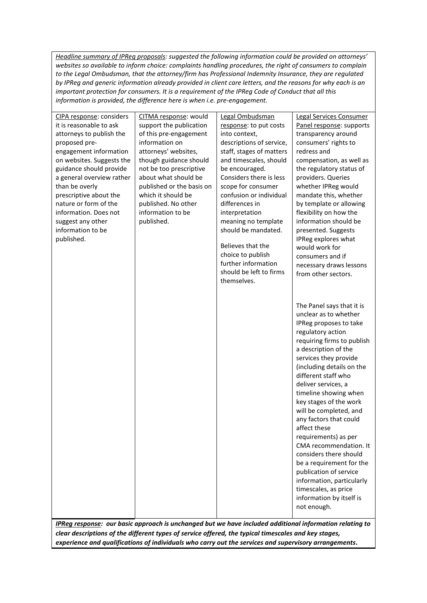*Headline summary of IPReg proposals: suggested the following information could be provided on attorneys' websites so available to inform choice: complaints handling procedures, the right of consumers to complain to the Legal Ombudsman, that the attorney/firm has Professional Indemnity Insurance, they are regulated by IPReg and generic information already provided in client care letters, and the reasons for why each is an important protection for consumers. It is a requirement of the IPReg Code of Conduct that all this information is provided, the difference here is when i.e. pre-engagement.* 

| CIPA response: considers  | CITMA response: would     | Legal Ombudsman          | Legal Services Consumer    |
|---------------------------|---------------------------|--------------------------|----------------------------|
| it is reasonable to ask   | support the publication   | response: to put costs   | Panel response: supports   |
| attorneys to publish the  | of this pre-engagement    | into context,            | transparency around        |
| proposed pre-             | information on            | descriptions of service, | consumers' rights to       |
| engagement information    | attorneys' websites,      | staff, stages of matters | redress and                |
| on websites. Suggests the | though guidance should    | and timescales, should   | compensation, as well as   |
| guidance should provide   | not be too prescriptive   | be encouraged.           | the regulatory status of   |
| a general overview rather | about what should be      | Considers there is less  | providers. Queries         |
| than be overly            | published or the basis on | scope for consumer       | whether IPReg would        |
| prescriptive about the    | which it should be        | confusion or individual  | mandate this, whether      |
| nature or form of the     | published. No other       | differences in           | by template or allowing    |
| information. Does not     | information to be         | interpretation           | flexibility on how the     |
| suggest any other         | published.                | meaning no template      | information should be      |
| information to be         |                           | should be mandated.      | presented. Suggests        |
| published.                |                           |                          | IPReg explores what        |
|                           |                           | Believes that the        | would work for             |
|                           |                           | choice to publish        | consumers and if           |
|                           |                           | further information      | necessary draws lessons    |
|                           |                           | should be left to firms  | from other sectors.        |
|                           |                           | themselves.              |                            |
|                           |                           |                          |                            |
|                           |                           |                          | The Panel says that it is  |
|                           |                           |                          | unclear as to whether      |
|                           |                           |                          | IPReg proposes to take     |
|                           |                           |                          | regulatory action          |
|                           |                           |                          | requiring firms to publish |
|                           |                           |                          | a description of the       |
|                           |                           |                          | services they provide      |
|                           |                           |                          | (including details on the  |
|                           |                           |                          | different staff who        |
|                           |                           |                          | deliver services, a        |
|                           |                           |                          |                            |
|                           |                           |                          | timeline showing when      |
|                           |                           |                          | key stages of the work     |
|                           |                           |                          | will be completed, and     |
|                           |                           |                          | any factors that could     |
|                           |                           |                          | affect these               |
|                           |                           |                          | requirements) as per       |
|                           |                           |                          | CMA recommendation. It     |
|                           |                           |                          | considers there should     |
|                           |                           |                          | be a requirement for the   |
|                           |                           |                          | publication of service     |
|                           |                           |                          | information, particularly  |
|                           |                           |                          | timescales, as price       |
|                           |                           |                          | information by itself is   |
|                           |                           |                          | not enough.                |
|                           |                           |                          |                            |

*IPReg response: our basic approach is unchanged but we have included additional information relating to clear descriptions of the different types of service offered, the typical timescales and key stages, experience and qualifications of individuals who carry out the services and supervisory arrangements.*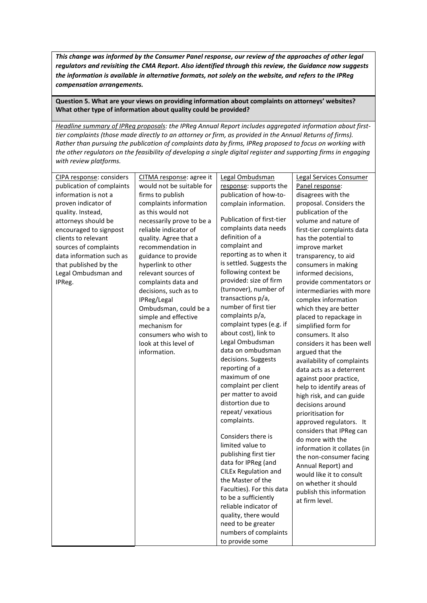*This change was informed by the Consumer Panel response, our review of the approaches of other legal regulators and revisiting the CMA Report. Also identified through this review, the Guidance now suggests the information is available in alternative formats, not solely on the website, and refers to the IPReg compensation arrangements.* 

#### **Question 5. What are your views on providing information about complaints on attorneys' websites? What other type of information about quality could be provided?**

*Headline summary of IPReg proposals: the IPReg Annual Report includes aggregated information about firsttier complaints (those made directly to an attorney or firm, as provided in the Annual Returns of firms). Rather than pursuing the publication of complaints data by firms, IPReg proposed to focus on working with the other regulators on the feasibility of developing a single digital register and supporting firms in engaging with review platforms.*

| CIPA response: considers  | CITMA response: agree it  | Legal Ombudsman             | Legal Services Consumer     |
|---------------------------|---------------------------|-----------------------------|-----------------------------|
| publication of complaints | would not be suitable for | response: supports the      | Panel response:             |
| information is not a      | firms to publish          | publication of how-to-      | disagrees with the          |
| proven indicator of       | complaints information    | complain information.       | proposal. Considers the     |
| quality. Instead,         | as this would not         |                             | publication of the          |
| attorneys should be       | necessarily prove to be a | Publication of first-tier   | volume and nature of        |
| encouraged to signpost    | reliable indicator of     | complaints data needs       | first-tier complaints data  |
| clients to relevant       | quality. Agree that a     | definition of a             | has the potential to        |
| sources of complaints     | recommendation in         | complaint and               | improve market              |
| data information such as  | guidance to provide       | reporting as to when it     | transparency, to aid        |
| that published by the     | hyperlink to other        | is settled. Suggests the    | consumers in making         |
| Legal Ombudsman and       | relevant sources of       | following context be        | informed decisions,         |
| IPReg.                    | complaints data and       | provided: size of firm      | provide commentators or     |
|                           | decisions, such as to     | (turnover), number of       | intermediaries with more    |
|                           | IPReg/Legal               | transactions p/a,           | complex information         |
|                           | Ombudsman, could be a     | number of first tier        | which they are better       |
|                           | simple and effective      | complaints p/a,             | placed to repackage in      |
|                           | mechanism for             | complaint types (e.g. if    | simplified form for         |
|                           | consumers who wish to     | about cost), link to        | consumers. It also          |
|                           | look at this level of     | Legal Ombudsman             | considers it has been well  |
|                           | information.              | data on ombudsman           | argued that the             |
|                           |                           | decisions. Suggests         | availability of complaints  |
|                           |                           | reporting of a              | data acts as a deterrent    |
|                           |                           | maximum of one              | against poor practice,      |
|                           |                           | complaint per client        | help to identify areas of   |
|                           |                           | per matter to avoid         | high risk, and can guide    |
|                           |                           | distortion due to           | decisions around            |
|                           |                           | repeat/ vexatious           | prioritisation for          |
|                           |                           | complaints.                 | approved regulators. It     |
|                           |                           |                             | considers that IPReg can    |
|                           |                           | Considers there is          | do more with the            |
|                           |                           | limited value to            | information it collates (in |
|                           |                           | publishing first tier       | the non-consumer facing     |
|                           |                           | data for IPReg (and         | Annual Report) and          |
|                           |                           | <b>CILEx Regulation and</b> | would like it to consult    |
|                           |                           | the Master of the           | on whether it should        |
|                           |                           | Faculties). For this data   | publish this information    |
|                           |                           | to be a sufficiently        | at firm level.              |
|                           |                           | reliable indicator of       |                             |
|                           |                           | quality, there would        |                             |
|                           |                           | need to be greater          |                             |
|                           |                           | numbers of complaints       |                             |
|                           |                           | to provide some             |                             |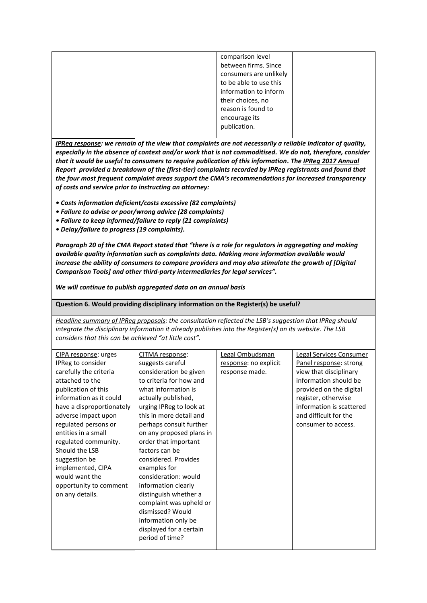|  | comparison level       |  |
|--|------------------------|--|
|  | between firms. Since   |  |
|  | consumers are unlikely |  |
|  | to be able to use this |  |
|  | information to inform  |  |
|  | their choices, no      |  |
|  | reason is found to     |  |
|  | encourage its          |  |
|  | publication.           |  |
|  |                        |  |

*IPReg response: we remain of the view that complaints are not necessarily a reliable indicator of quality, especially in the absence of context and/or work that is not commoditised. We do not, therefore, consider that it would be useful to consumers to require publication of this information. Th[e IPReg 2017 Annual](https://ipreg.org.uk/wp-content/files/2018/08/2017-Annual-Report.pdf)  [Report](https://ipreg.org.uk/wp-content/files/2018/08/2017-Annual-Report.pdf) provided a breakdown of the (first-tier) complaints recorded by IPReg registrants and found that the four most frequent complaint areas support the CMA's recommendations for increased transparency of costs and service prior to instructing an attorney:* 

- *Costs information deficient/costs excessive (82 complaints)*
- *Failure to advise or poor/wrong advice (28 complaints)*
- *Failure to keep informed/failure to reply (21 complaints)*
- *Delay/failure to progress (19 complaints).*

*Paragraph 20 of the CMA Report stated that "there is a role for regulators in aggregating and making available quality information such as complaints data. Making more information available would increase the ability of consumers to compare providers and may also stimulate the growth of [Digital Comparison Tools] and other third-party intermediaries for legal services".* 

*We will continue to publish aggregated data on an annual basis*

**Question 6. Would providing disciplinary information on the Register(s) be useful?**

*Headline summary of IPReg proposals: the consultation reflected the LSB's suggestion that IPReg should integrate the disciplinary information it already publishes into the Register(s) on its website. The LSB considers that this can be achieved "at little cost".* 

| CIPA response: urges      | CITMA response:          | Legal Ombudsman       | <b>Legal Services Consumer</b> |
|---------------------------|--------------------------|-----------------------|--------------------------------|
| IPReg to consider         | suggests careful         | response: no explicit | Panel response: strong         |
| carefully the criteria    | consideration be given   | response made.        | view that disciplinary         |
| attached to the           | to criteria for how and  |                       | information should be          |
| publication of this       | what information is      |                       | provided on the digital        |
| information as it could   | actually published,      |                       | register, otherwise            |
| have a disproportionately | urging IPReg to look at  |                       | information is scattered       |
| adverse impact upon       | this in more detail and  |                       | and difficult for the          |
| regulated persons or      | perhaps consult further  |                       | consumer to access.            |
| entities in a small       | on any proposed plans in |                       |                                |
| regulated community.      | order that important     |                       |                                |
| Should the LSB            | factors can be           |                       |                                |
| suggestion be             | considered. Provides     |                       |                                |
| implemented, CIPA         | examples for             |                       |                                |
| would want the            | consideration: would     |                       |                                |
| opportunity to comment    | information clearly      |                       |                                |
| on any details.           | distinguish whether a    |                       |                                |
|                           | complaint was upheld or  |                       |                                |
|                           | dismissed? Would         |                       |                                |
|                           | information only be      |                       |                                |
|                           | displayed for a certain  |                       |                                |
|                           | period of time?          |                       |                                |
|                           |                          |                       |                                |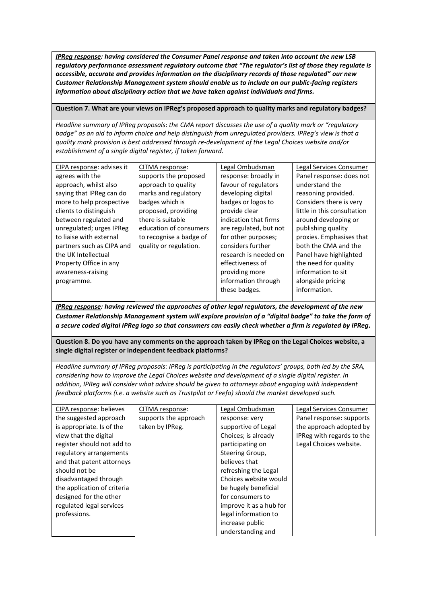*IPReg response: having considered the Consumer Panel response and taken into account the new LSB regulatory performance assessment regulatory outcome that "The regulator's list of those they regulate is accessible, accurate and provides information on the disciplinary records of those regulated" our new Customer Relationship Management system should enable us to include on our public-facing registers information about disciplinary action that we have taken against individuals and firms.*

#### **Question 7. What are your views on IPReg's proposed approach to quality marks and regulatory badges?**

*Headline summary of IPReg proposals*: *the CMA report discusses the use of a quality mark or "regulatory badge" as an aid to inform choice and help distinguish from unregulated providers. IPReg's view is that a quality mark provision is best addressed through re-development of the Legal Choices website and/or establishment of a single digital register, if taken forward.*

| CIPA response: advises it | CITMA response:         | Legal Ombudsman        | Legal Services Consumer     |
|---------------------------|-------------------------|------------------------|-----------------------------|
| agrees with the           | supports the proposed   | response: broadly in   | Panel response: does not    |
| approach, whilst also     | approach to quality     | favour of regulators   | understand the              |
| saying that IPReg can do  | marks and regulatory    | developing digital     | reasoning provided.         |
| more to help prospective  | badges which is         | badges or logos to     | Considers there is very     |
| clients to distinguish    | proposed, providing     | provide clear          | little in this consultation |
| between regulated and     | there is suitable       | indication that firms  | around developing or        |
| unregulated; urges IPReg  | education of consumers  | are regulated, but not | publishing quality          |
| to liaise with external   | to recognise a badge of | for other purposes;    | proxies. Emphasises that    |
| partners such as CIPA and | quality or regulation.  | considers further      | both the CMA and the        |
| the UK Intellectual       |                         | research is needed on  | Panel have highlighted      |
| Property Office in any    |                         | effectiveness of       | the need for quality        |
| awareness-raising         |                         | providing more         | information to sit          |
| programme.                |                         | information through    | alongside pricing           |
|                           |                         | these badges.          | information.                |
|                           |                         |                        |                             |

*IPReg response: having reviewed the approaches of other legal regulators, the development of the new Customer Relationship Management system will explore provision of a "digital badge" to take the form of a secure coded digital IPReg logo so that consumers can easily check whether a firm is regulated by IPReg.* 

**Question 8. Do you have any comments on the approach taken by IPReg on the Legal Choices website, a single digital register or independent feedback platforms?**

*Headline summary of IPReg proposals: IPReg is participating in the regulators' groups, both led by the SRA, considering how to improve the Legal Choices website and development of a single digital register. In addition, IPReg will consider what advice should be given to attorneys about engaging with independent feedback platforms (i.e. a website such as Trustpilot or Feefo) should the market developed such.*

| CIPA response: believes     | CITMA response:       | Legal Ombudsman         | Legal Services Consumer   |
|-----------------------------|-----------------------|-------------------------|---------------------------|
| the suggested approach      | supports the approach | response: very          | Panel response: supports  |
| is appropriate. Is of the   | taken by IPReg.       | supportive of Legal     | the approach adopted by   |
| view that the digital       |                       | Choices; is already     | IPReg with regards to the |
| register should not add to  |                       | participating on        | Legal Choices website.    |
| regulatory arrangements     |                       | Steering Group,         |                           |
| and that patent attorneys   |                       | believes that           |                           |
| should not be               |                       | refreshing the Legal    |                           |
| disadvantaged through       |                       | Choices website would   |                           |
| the application of criteria |                       | be hugely beneficial    |                           |
| designed for the other      |                       | for consumers to        |                           |
| regulated legal services    |                       | improve it as a hub for |                           |
| professions.                |                       | legal information to    |                           |
|                             |                       | increase public         |                           |
|                             |                       | understanding and       |                           |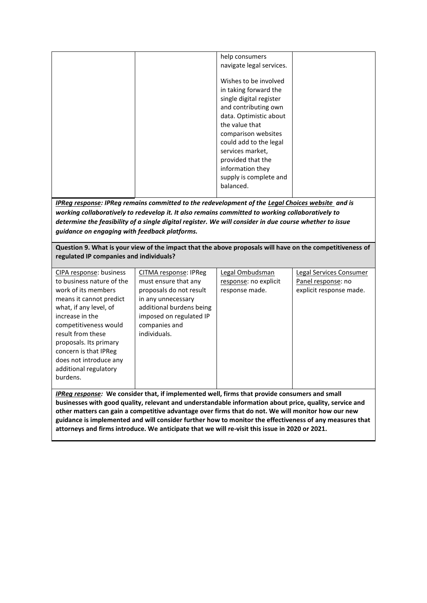| help consumers           |  |
|--------------------------|--|
| navigate legal services. |  |
|                          |  |
| Wishes to be involved    |  |
| in taking forward the    |  |
| single digital register  |  |
| and contributing own     |  |
| data. Optimistic about   |  |
| the value that           |  |
| comparison websites      |  |
| could add to the legal   |  |
| services market,         |  |
| provided that the        |  |
| information they         |  |
| supply is complete and   |  |
|                          |  |
| balanced.                |  |

*IPReg response: IPReg remains committed to the redevelopment of the [Legal Choices website](https://www.legalchoices.org.uk/) and is working collaboratively to redevelop it. It also remains committed to working collaboratively to determine the feasibility of a single digital register. We will consider in due course whether to issue guidance on engaging with feedback platforms.* 

**Question 9. What is your view of the impact that the above proposals will have on the competitiveness of regulated IP companies and individuals?**

| CIPA response: business   | CITMA response: IPReg    | Legal Ombudsman       | Legal Services Consumer |
|---------------------------|--------------------------|-----------------------|-------------------------|
| to business nature of the | must ensure that any     | response: no explicit | Panel response: no      |
| work of its members       | proposals do not result  | response made.        | explicit response made. |
| means it cannot predict   | in any unnecessary       |                       |                         |
| what, if any level, of    | additional burdens being |                       |                         |
| increase in the           | imposed on regulated IP  |                       |                         |
| competitiveness would     | companies and            |                       |                         |
| result from these         | individuals.             |                       |                         |
| proposals. Its primary    |                          |                       |                         |
| concern is that IPReg     |                          |                       |                         |
| does not introduce any    |                          |                       |                         |
| additional regulatory     |                          |                       |                         |
| burdens.                  |                          |                       |                         |
|                           |                          |                       |                         |
|                           |                          |                       |                         |

*IPReg response:* **We consider that, if implemented well, firms that provide consumers and small businesses with good quality, relevant and understandable information about price, quality, service and other matters can gain a competitive advantage over firms that do not. We will monitor how our new guidance is implemented and will consider further how to monitor the effectiveness of any measures that attorneys and firms introduce. We anticipate that we will re-visit this issue in 2020 or 2021.**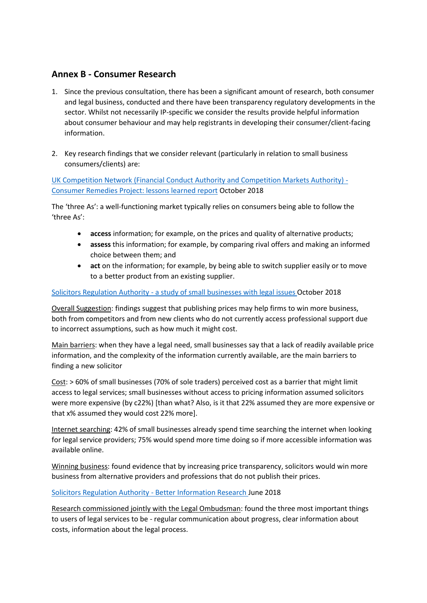## **Annex B - Consumer Research**

- 1. Since the previous consultation, there has been a significant amount of research, both consumer and legal business, conducted and there have been transparency regulatory developments in the sector. Whilst not necessarily IP-specific we consider the results provide helpful information about consumer behaviour and may help registrants in developing their consumer/client-facing information.
- 2. Key research findings that we consider relevant (particularly in relation to small business consumers/clients) are:

[UK Competition Network \(Financial Conduct Authority and Competition Markets Authority\) -](https://assets.publishing.service.gov.uk/government/uploads/system/uploads/attachment_data/file/744521/UKCN_consumer_remedies_project_-_lessons_learned_report.pdf) [Consumer Remedies Project: lessons learned report](https://assets.publishing.service.gov.uk/government/uploads/system/uploads/attachment_data/file/744521/UKCN_consumer_remedies_project_-_lessons_learned_report.pdf) October 2018

The 'three As': a well-functioning market typically relies on consumers being able to follow the 'three As':

- **access** information; for example, on the prices and quality of alternative products;
- **assess** this information; for example, by comparing rival offers and making an informed choice between them; and
- **act** on the information; for example, by being able to switch supplier easily or to move to a better product from an existing supplier.

#### Solicitors Regulation Authority - [a study of small businesses with legal issues](http://www.sra.org.uk/sra/how-we-work/reports/price-transparency.page) October 2018

Overall Suggestion: findings suggest that publishing prices may help firms to win more business, both from competitors and from new clients who do not currently access professional support due to incorrect assumptions, such as how much it might cost.

Main barriers: when they have a legal need, small businesses say that a lack of readily available price information, and the complexity of the information currently available, are the main barriers to finding a new solicitor

Cost: > 60% of small businesses (70% of sole traders) perceived cost as a barrier that might limit access to legal services; small businesses without access to pricing information assumed solicitors were more expensive (by c22%) [than what? Also, is it that 22% assumed they are more expensive or that x% assumed they would cost 22% more].

Internet searching: 42% of small businesses already spend time searching the internet when looking for legal service providers; 75% would spend more time doing so if more accessible information was available online.

Winning business: found evidence that by increasing price transparency, solicitors would win more business from alternative providers and professions that do not publish their prices.

[Solicitors Regulation Authority -](https://www.sra.org.uk/sra/how-we-work/reports/better-information.page) Better Information Research June 2018

Research commissioned jointly with the Legal Ombudsman: found the three most important things to users of legal services to be - regular communication about progress, clear information about costs, information about the legal process.